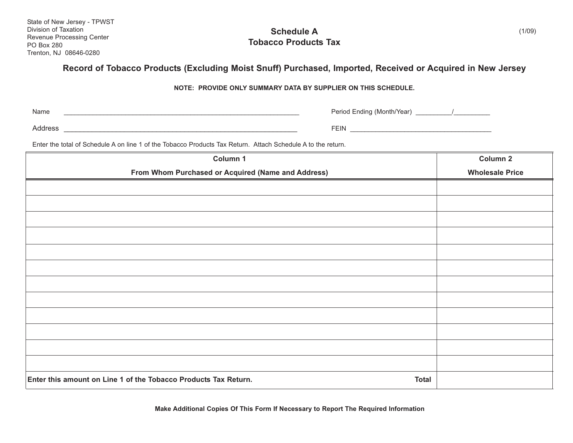State of New Jersey - TPWST Division of Taxation Revenue Processing Center PO Box 280 Trenton, NJ 08646-0280

**Schedule A Tobacco Products Tax**

## **Record of Tobacco Products (Excluding Moist Snuff) Purchased, Imported, Received or Acquired in New Jersey**

**NOTE: PROVIDE ONLY SUMMARY DATA BY SUPPLIER ON THIS SCHEDULE.**

Name

\_\_\_\_\_\_\_\_\_\_\_\_\_\_\_\_\_\_\_\_\_\_\_\_\_\_\_\_\_\_\_\_\_\_\_\_\_\_\_\_\_\_\_\_\_\_\_\_\_\_\_\_\_\_\_\_\_\_\_\_\_\_\_\_\_ Period Ending (Month/Year) \_\_\_\_\_\_\_\_\_\_/\_\_\_\_\_\_\_\_\_\_

Address \_\_\_\_\_\_\_\_\_\_\_\_\_\_\_\_\_\_\_\_\_\_\_\_\_\_\_\_\_\_\_\_\_\_\_\_\_\_\_\_\_\_\_\_\_\_\_\_\_\_\_\_\_\_\_\_\_\_ FEIN \_\_\_\_\_\_\_\_\_\_\_\_\_\_\_\_\_\_\_\_\_\_\_\_\_\_\_\_\_\_\_\_\_\_\_\_\_\_\_

Enter the total of Schedule A on line 1 of the Tobacco Products Tax Return. Attach Schedule A to the return.

| Column 1                                                                        | <b>Column 2</b>        |
|---------------------------------------------------------------------------------|------------------------|
| From Whom Purchased or Acquired (Name and Address)                              | <b>Wholesale Price</b> |
|                                                                                 |                        |
|                                                                                 |                        |
|                                                                                 |                        |
|                                                                                 |                        |
|                                                                                 |                        |
|                                                                                 |                        |
|                                                                                 |                        |
|                                                                                 |                        |
|                                                                                 |                        |
|                                                                                 |                        |
|                                                                                 |                        |
|                                                                                 |                        |
| Enter this amount on Line 1 of the Tobacco Products Tax Return.<br><b>Total</b> |                        |

**Make Additional Copies Of This Form If Necessary to Report The Required Information**